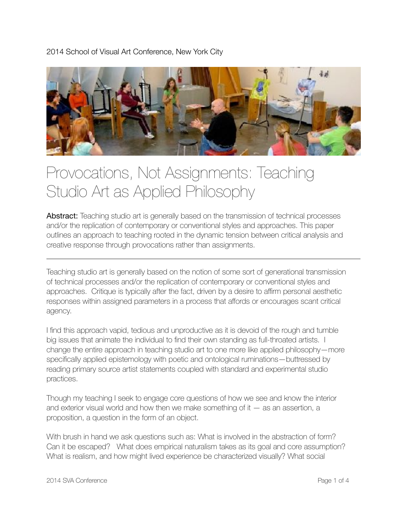2014 School of Visual Art Conference, New York City



## Provocations, Not Assignments: Teaching Studio Art as Applied Philosophy

**Abstract:** Teaching studio art is generally based on the transmission of technical processes and/or the replication of contemporary or conventional styles and approaches. This paper outlines an approach to teaching rooted in the dynamic tension between critical analysis and creative response through provocations rather than assignments.

Teaching studio art is generally based on the notion of some sort of generational transmission of technical processes and/or the replication of contemporary or conventional styles and approaches. Critique is typically after the fact, driven by a desire to affirm personal aesthetic responses within assigned parameters in a process that affords or encourages scant critical agency.

I find this approach vapid, tedious and unproductive as it is devoid of the rough and tumble big issues that animate the individual to find their own standing as full-throated artists. I change the entire approach in teaching studio art to one more like applied philosophy—more specifically applied epistemology with poetic and ontological ruminations—buttressed by reading primary source artist statements coupled with standard and experimental studio practices.

Though my teaching I seek to engage core questions of how we see and know the interior and exterior visual world and how then we make something of it — as an assertion, a proposition, a question in the form of an object.

With brush in hand we ask questions such as: What is involved in the abstraction of form? Can it be escaped? What does empirical naturalism takes as its goal and core assumption? What is realism, and how might lived experience be characterized visually? What social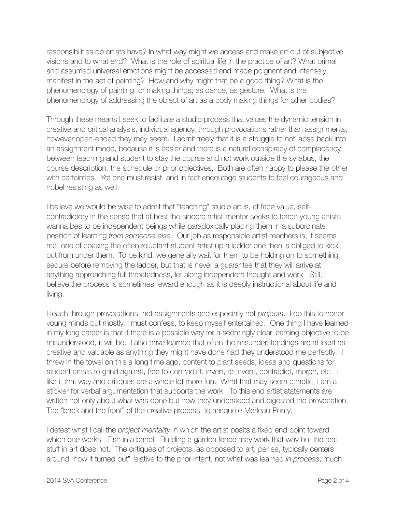responsibilities do artists have? In what way might we access and make art out of subjective visions and to what end? What is the role of spiritual life in the practice of art? What primal and assumed universal emotions might be accessed and made poignant and intensely manifest in the act of painting? How and why might that be a good thing? What is the phenomenology of painting, or making things, as dance, as gesture. What is the phenomenology of addressing the object of art as a body making things for other bodies?

Through these means I seek to facilitate a studio process that values the dynamic tension in creative and critical analysis, individual agency, through provocations rather than assignments, however open-ended they may seem. I admit freely that it is a struggle to not lapse back into an assignment mode, because it is easier and there is a natural conspiracy of complacency between teaching and student to stay the course and not work outside the syllabus, the course description, the schedule or prior objectives, Both are often happy to please the other with certainties. Yet one must resist, and in fact encourage students to feel courageous and nobel resisting as well.

I believe we would be wise to admit that "teaching" studio art is, at face value, selfcontradictory in the sense that at best the sincere artist-mentor seeks to teach young artists wanna bes to be independent beings while paradoxically placing them in a subordinate position of learning *from someone else*. Our job as responsible artist-teachers is, it seems me, one of coaxing the often reluctant student-artist up a ladder one then is obliged to kick out from under them. To be kind, we generally wait for them to be holding on to something secure before removing the ladder, but that is never a guarantee that they will arrive at anything approaching full throatedness, let along independent thought and work. Still, I believe the process is sometimes reward enough as it is deeply instructional about life and living.

I teach through provocations, not assignments and especially not *projects*. I do this to honor young minds but mostly, I must confess, to keep myself entertained. One thing I have learned in my long career is that if there is a possible way for a seemingly clear learning objective to be misunderstood, it will be. I also have learned that often the misunderstandings are at least as creative and valuable as anything they might have done had they understood me perfectly. I threw in the towel on this a long time ago, content to plant seeds, ideas and questions for student artists to grind against, free to contradict, invert, re-invent, contradict, morph, etc. I like it that way and critiques are a whole lot more fun. What that may seem chaotic, I am a stickler for verbal argumentation that supports the work. To this end artist statements are written not only about what was done but how they understood and digested the provocation. The "back and the front" of the creative process, to misquote Merleau-Ponty.

I detest what I call the *project mentality* in which the artist posits a fixed end point toward which one works. Fish in a barrel! Building a garden fence may work that way but the real stuff in art does not. The critiques of projects, as opposed to art, per se, typically centers around "how it turned out" relative to the prior intent, not what was learned *in process*, much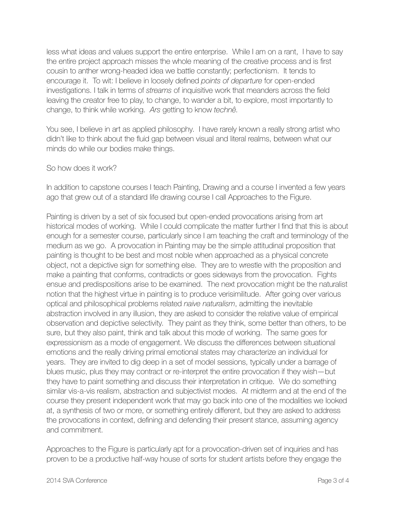less what ideas and values support the entire enterprise. While I am on a rant, I have to say the entire project approach misses the whole meaning of the creative process and is first cousin to anther wrong-headed idea we battle constantly; perfectionism. It tends to encourage it. To wit: I believe in loosely defined *points of departure* for open-ended investigations. I talk in terms of *streams* of inquisitive work that meanders across the field leaving the creator free to play, to change, to wander a bit, to explore, most importantly to change, to think while working. *Ars* getting to know *technê.*

You see, I believe in art as applied philosophy. I have rarely known a really strong artist who didn't like to think about the fluid gap between visual and literal realms, between what our minds do while our bodies make things.

## So how does it work?

In addition to capstone courses I teach Painting, Drawing and a course I invented a few years ago that grew out of a standard life drawing course I call Approaches to the Figure.

Painting is driven by a set of six focused but open-ended provocations arising from art historical modes of working. While I could complicate the matter further I find that this is about enough for a semester course, particularly since I am teaching the craft and terminology of the medium as we go. A provocation in Painting may be the simple attitudinal proposition that painting is thought to be best and most noble when approached as a physical concrete object, not a depictive sign for something else. They are to wrestle with the proposition and make a painting that conforms, contradicts or goes sideways from the provocation. Fights ensue and predispositions arise to be examined. The next provocation might be the naturalist notion that the highest virtue in painting is to produce verisimilitude. After going over various optical and philosophical problems related *naive naturalism*, admitting the inevitable abstraction involved in any illusion, they are asked to consider the relative value of empirical observation and depictive selectivity. They paint as they think, some better than others, to be sure, but they also paint, think and talk about this mode of working. The same goes for expressionism as a mode of engagement. We discuss the differences between situational emotions and the really driving primal emotional states may characterize an individual for years. They are invited to dig deep in a set of model sessions, typically under a barrage of blues music, plus they may contract or re-interpret the entire provocation if they wish—but they have to paint something and discuss their interpretation in critique. We do something similar vis-a-vis realism, abstraction and subjectivist modes. At midterm and at the end of the course they present independent work that may go back into one of the modalities we looked at, a synthesis of two or more, or something entirely different, but they are asked to address the provocations in context, defining and defending their present stance, assuming agency and commitment.

Approaches to the Figure is particularly apt for a provocation-driven set of inquiries and has proven to be a productive half-way house of sorts for student artists before they engage the